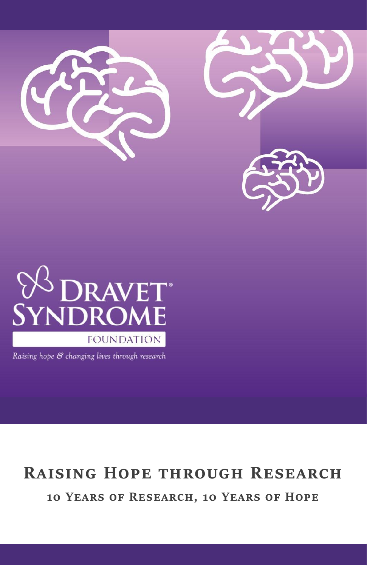





Raising hope & changing lives through research

# **Raising Hope through Research**

**10 Years of Research, 10 Years of Hope**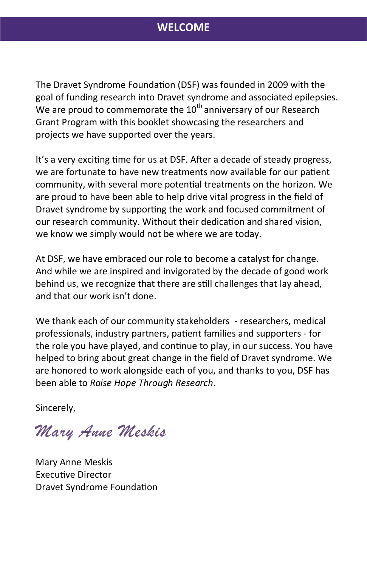# **WELCOME**

The Dravet Syndrome Foundation (DSF) was founded in 2009 with the goal of funding research into Dravet syndrome and associated epilepsies. We are proud to commemorate the  $10^{th}$  anniversary of our Research Grant Program with this booklet showcasing the researchers and projects we have supported over the years.

It's a very exciting time for us at DSF. After a decade of steady progress, we are fortunate to have new treatments now available for our patient community, with several more potential treatments on the horizon. We are proud to have been able to help drive vital progress in the field of Dravet syndrome by supporting the work and focused commitment of our research community. Without their dedication and shared vision, we know we simply would not be where we are today.

At DSF, we have embraced our role to become a catalyst for change. And while we are inspired and invigorated by the decade of good work behind us, we recognize that there are still challenges that lay ahead, and that our work isn't done.

We thank each of our community stakeholders - researchers, medical professionals, industry partners, patient families and supporters - for the role you have played, and continue to play, in our success. You have helped to bring about great change in the field of Dravet syndrome. We are honored to work alongside each of you, and thanks to you, DSF has been able to *Raise Hope Through Research*.

Sincerely,

*Mary Anne Meskis*

Mary Anne Meskis Executive Director Dravet Syndrome Foundation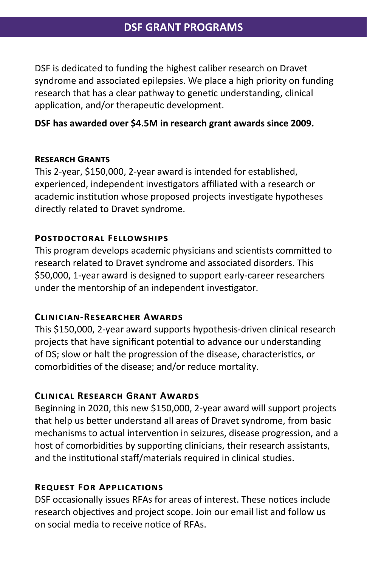DSF is dedicated to funding the highest caliber research on Dravet syndrome and associated epilepsies. We place a high priority on funding research that has a clear pathway to genetic understanding, clinical application, and/or therapeutic development.

#### **DSF has awarded over \$4.5M in research grant awards since 2009.**

#### **Research Grants**

This 2-year, \$150,000, 2-year award is intended for established, experienced, independent investigators affiliated with a research or academic institution whose proposed projects investigate hypotheses directly related to Dravet syndrome.

#### **Postdoctoral Fellowships**

This program develops academic physicians and scientists committed to research related to Dravet syndrome and associated disorders. This \$50,000, 1-year award is designed to support early-career researchers under the mentorship of an independent investigator.

#### **Clinician-Researcher Awards**

This \$150,000, 2-year award supports hypothesis-driven clinical research projects that have significant potential to advance our understanding of DS; slow or halt the progression of the disease, characteristics, or comorbidities of the disease; and/or reduce mortality.

#### **Clinical Research Grant Awards**

Beginning in 2020, this new \$150,000, 2-year award will support projects that help us better understand all areas of Dravet syndrome, from basic mechanisms to actual intervention in seizures, disease progression, and a host of comorbidities by supporting clinicians, their research assistants, and the institutional staff/materials required in clinical studies.

#### **Request For Applications**

DSF occasionally issues RFAs for areas of interest. These notices include research objectives and project scope. Join our email list and follow us on social media to receive notice of RFAs.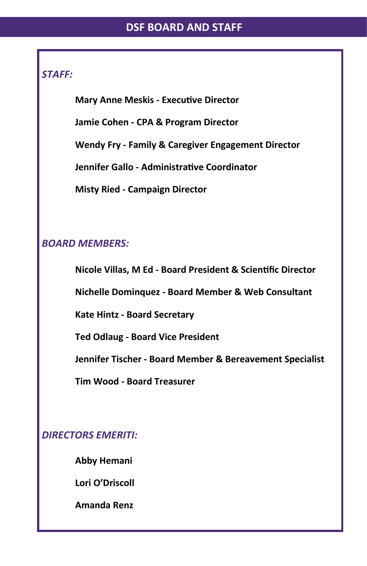## *STAFF:*

**Mary Anne Meskis - Executive Director**

**Jamie Cohen - CPA & Program Director**

**Wendy Fry - Family & Caregiver Engagement Director**

**Jennifer Gallo - Administrative Coordinator**

**Misty Ried - Campaign Director**

# *BOARD MEMBERS:*

**Nicole Villas, M Ed - Board President & Scientific Director**

**Nichelle Dominquez - Board Member & Web Consultant**

**Kate Hintz - Board Secretary**

**Ted Odlaug - Board Vice President**

**Jennifer Tischer - Board Member & Bereavement Specialist**

**Tim Wood - Board Treasurer**

*DIRECTORS EMERITI:*

**Abby Hemani**

**Lori O'Driscoll**

**Amanda Renz**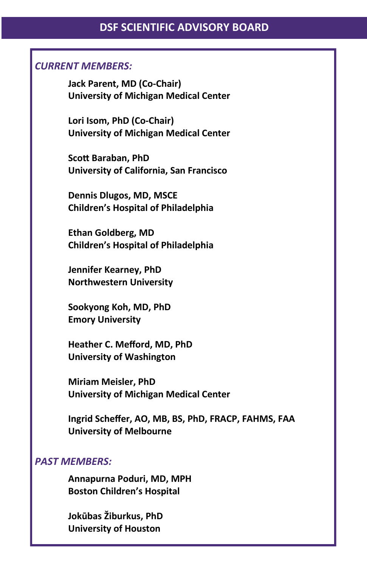#### *CURRENT MEMBERS:*

**Jack Parent, MD (Co-Chair) University of Michigan Medical Center**

**Lori Isom, PhD (Co-Chair) University of Michigan Medical Center**

**Scott Baraban, PhD University of California, San Francisco**

**Dennis Dlugos, MD, MSCE Children's Hospital of Philadelphia**

**Ethan Goldberg, MD Children's Hospital of Philadelphia**

**Jennifer Kearney, PhD Northwestern University**

**Sookyong Koh, MD, PhD Emory University**

**Heather C. Mefford, MD, PhD University of Washington**

**Miriam Meisler, PhD University of Michigan Medical Center**

**Ingrid Scheffer, AO, MB, BS, PhD, FRACP, FAHMS, FAA University of Melbourne**

#### *PAST MEMBERS:*

**Annapurna Poduri, MD, MPH Boston Children's Hospital**

**Jokūbas Žiburkus, PhD University of Houston**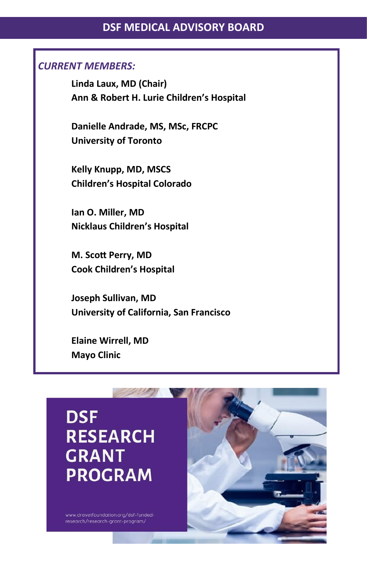# **DSF MEDICAL ADVISORY BOARD**

#### *CURRENT MEMBERS:*

**Linda Laux, MD (Chair) Ann & Robert H. Lurie Children's Hospital**

**Danielle Andrade, MS, MSc, FRCPC University of Toronto**

**Kelly Knupp, MD, MSCS Children's Hospital Colorado**

**Ian O. Miller, MD Nicklaus Children's Hospital**

**M. Scott Perry, MD Cook Children's Hospital**

**Joseph Sullivan, MD University of California, San Francisco**

**Elaine Wirrell, MD Mayo Clinic**



www.dravetfoundation.org/dsf-fundedresearch/research-grant-program/

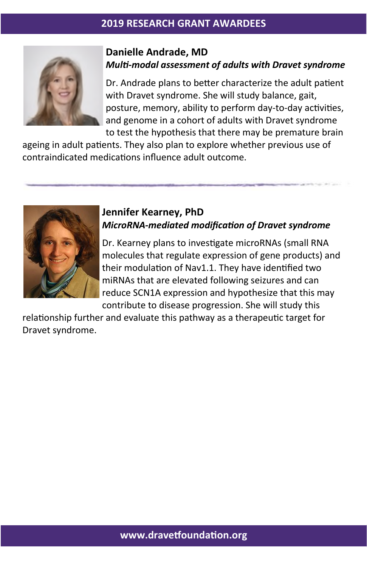

#### **Danielle Andrade, MD**  *Multi-modal assessment of adults with Dravet syndrome*

Dr. Andrade plans to better characterize the adult patient with Dravet syndrome. She will study balance, gait, posture, memory, ability to perform day-to-day activities, and genome in a cohort of adults with Dravet syndrome to test the hypothesis that there may be premature brain

ageing in adult patients. They also plan to explore whether previous use of contraindicated medications influence adult outcome.



#### **Jennifer Kearney, PhD**  *MicroRNA-mediated modification of Dravet syndrome*

Dr. Kearney plans to investigate microRNAs (small RNA molecules that regulate expression of gene products) and their modulation of Nav1.1. They have identified two miRNAs that are elevated following seizures and can reduce SCN1A expression and hypothesize that this may contribute to disease progression. She will study this

relationship further and evaluate this pathway as a therapeutic target for Dravet syndrome.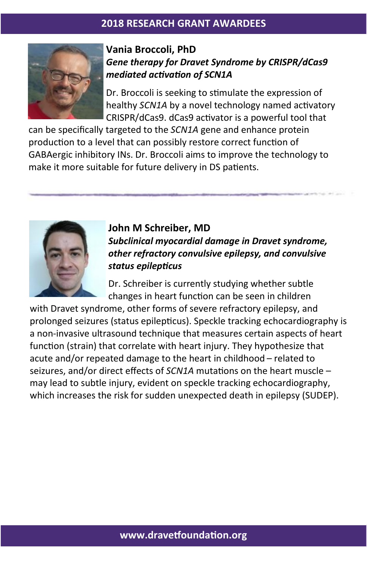

## **Vania Broccoli, PhD**  *Gene therapy for Dravet Syndrome by CRISPR/dCas9 mediated activation of SCN1A*

Dr. Broccoli is seeking to stimulate the expression of healthy *SCN1A* by a novel technology named activatory CRISPR/dCas9. dCas9 activator is a powerful tool that

can be specifically targeted to the *SCN1A* gene and enhance protein production to a level that can possibly restore correct function of GABAergic inhibitory INs. Dr. Broccoli aims to improve the technology to make it more suitable for future delivery in DS patients.



**John M Schreiber, MD**  *Subclinical myocardial damage in Dravet syndrome, other refractory convulsive epilepsy, and convulsive status epilepticus*

Dr. Schreiber is currently studying whether subtle changes in heart function can be seen in children

with Dravet syndrome, other forms of severe refractory epilepsy, and prolonged seizures (status epilepticus). Speckle tracking echocardiography is a non-invasive ultrasound technique that measures certain aspects of heart function (strain) that correlate with heart injury. They hypothesize that acute and/or repeated damage to the heart in childhood – related to seizures, and/or direct effects of *SCN1A* mutations on the heart muscle – may lead to subtle injury, evident on speckle tracking echocardiography, which increases the risk for sudden unexpected death in epilepsy (SUDEP).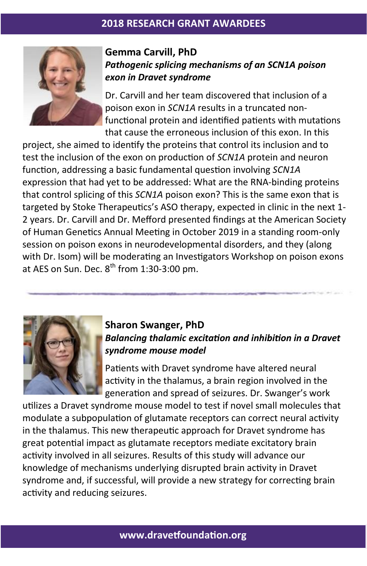

# **Gemma Carvill, PhD**  *Pathogenic splicing mechanisms of an SCN1A poison exon in Dravet syndrome*

Dr. Carvill and her team discovered that inclusion of a poison exon in *SCN1A* results in a truncated nonfunctional protein and identified patients with mutations that cause the erroneous inclusion of this exon. In this

project, she aimed to identify the proteins that control its inclusion and to test the inclusion of the exon on production of *SCN1A* protein and neuron function, addressing a basic fundamental question involving *SCN1A* expression that had yet to be addressed: What are the RNA-binding proteins that control splicing of this *SCN1A* poison exon? This is the same exon that is targeted by Stoke Therapeutics's ASO therapy, expected in clinic in the next 1- 2 years. Dr. Carvill and Dr. Mefford presented findings at the American Society of Human Genetics Annual Meeting in October 2019 in a standing room-only session on poison exons in neurodevelopmental disorders, and they (along with Dr. Isom) will be moderating an Investigators Workshop on poison exons at AES on Sun. Dec.  $8^{th}$  from 1:30-3:00 pm.



# **Sharon Swanger, PhD**  *Balancing thalamic excitation and inhibition in a Dravet syndrome mouse model*

Patients with Dravet syndrome have altered neural activity in the thalamus, a brain region involved in the generation and spread of seizures. Dr. Swanger's work

utilizes a Dravet syndrome mouse model to test if novel small molecules that modulate a subpopulation of glutamate receptors can correct neural activity in the thalamus. This new therapeutic approach for Dravet syndrome has great potential impact as glutamate receptors mediate excitatory brain activity involved in all seizures. Results of this study will advance our knowledge of mechanisms underlying disrupted brain activity in Dravet syndrome and, if successful, will provide a new strategy for correcting brain activity and reducing seizures.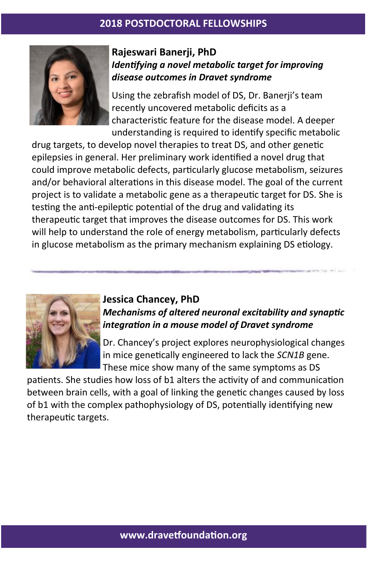

# **Rajeswari Banerji, PhD**  *Identifying a novel metabolic target for improving disease outcomes in Dravet syndrome*

Using the zebrafish model of DS, Dr. Banerji's team recently uncovered metabolic deficits as a characteristic feature for the disease model. A deeper understanding is required to identify specific metabolic

drug targets, to develop novel therapies to treat DS, and other genetic epilepsies in general. Her preliminary work identified a novel drug that could improve metabolic defects, particularly glucose metabolism, seizures and/or behavioral alterations in this disease model. The goal of the current project is to validate a metabolic gene as a therapeutic target for DS. She is testing the anti-epileptic potential of the drug and validating its therapeutic target that improves the disease outcomes for DS. This work will help to understand the role of energy metabolism, particularly defects in glucose metabolism as the primary mechanism explaining DS etiology.



# **Jessica Chancey, PhD**  *Mechanisms of altered neuronal excitability and synaptic integration in a mouse model of Dravet syndrome*

Dr. Chancey's project explores neurophysiological changes in mice genetically engineered to lack the *SCN1B* gene. These mice show many of the same symptoms as DS

patients. She studies how loss of b1 alters the activity of and communication between brain cells, with a goal of linking the genetic changes caused by loss of b1 with the complex pathophysiology of DS, potentially identifying new therapeutic targets.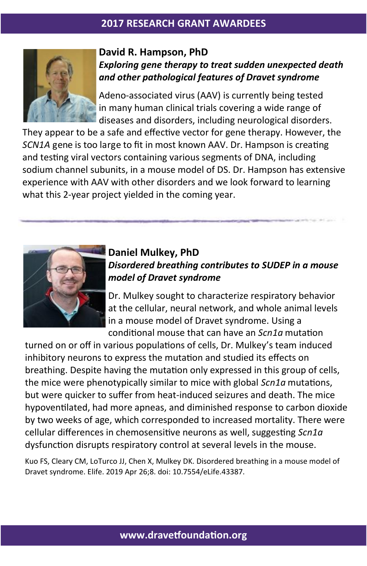

## **David R. Hampson, PhD**  *Exploring gene therapy to treat sudden unexpected death and other pathological features of Dravet syndrome*

Adeno-associated virus (AAV) is currently being tested in many human clinical trials covering a wide range of diseases and disorders, including neurological disorders.

They appear to be a safe and effective vector for gene therapy. However, the *SCN1A* gene is too large to fit in most known AAV. Dr. Hampson is creating and testing viral vectors containing various segments of DNA, including sodium channel subunits, in a mouse model of DS. Dr. Hampson has extensive experience with AAV with other disorders and we look forward to learning what this 2-year project yielded in the coming year.



# **Daniel Mulkey, PhD**  *Disordered breathing contributes to SUDEP in a mouse model of Dravet syndrome*

Dr. Mulkey sought to characterize respiratory behavior at the cellular, neural network, and whole animal levels in a mouse model of Dravet syndrome. Using a conditional mouse that can have an *Scn1a* mutation

turned on or off in various populations of cells, Dr. Mulkey's team induced inhibitory neurons to express the mutation and studied its effects on breathing. Despite having the mutation only expressed in this group of cells, the mice were phenotypically similar to mice with global *Scn1a* mutations, but were quicker to suffer from heat-induced seizures and death. The mice hypoventilated, had more apneas, and diminished response to carbon dioxide by two weeks of age, which corresponded to increased mortality. There were cellular differences in chemosensitive neurons as well, suggesting *Scn1a*  dysfunction disrupts respiratory control at several levels in the mouse.

Kuo FS, Cleary CM, LoTurco JJ, Chen X, Mulkey DK. Disordered breathing in a mouse model of Dravet syndrome. Elife. 2019 Apr 26;8. doi: 10.7554/eLife.43387.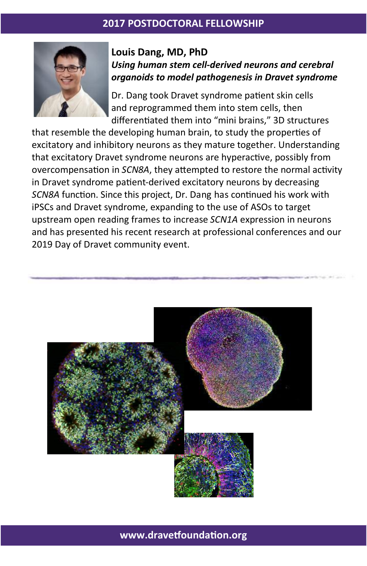#### **2017 POSTDOCTORAL FELLOWSHIP**



#### **Louis Dang, MD, PhD**  *Using human stem cell-derived neurons and cerebral organoids to model pathogenesis in Dravet syndrome*

Dr. Dang took Dravet syndrome patient skin cells and reprogrammed them into stem cells, then differentiated them into "mini brains," 3D structures

that resemble the developing human brain, to study the properties of excitatory and inhibitory neurons as they mature together. Understanding that excitatory Dravet syndrome neurons are hyperactive, possibly from overcompensation in *SCN8A*, they attempted to restore the normal activity in Dravet syndrome patient-derived excitatory neurons by decreasing *SCN8A* function. Since this project, Dr. Dang has continued his work with iPSCs and Dravet syndrome, expanding to the use of ASOs to target upstream open reading frames to increase *SCN1A* expression in neurons and has presented his recent research at professional conferences and our 2019 Day of Dravet community event.



**www.dravetfoundation.org**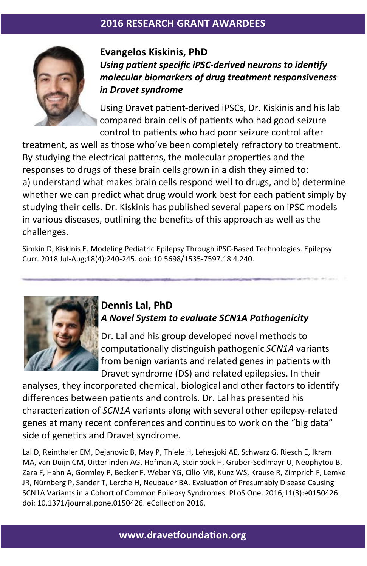

**Evangelos Kiskinis, PhD**  *Using patient specific iPSC-derived neurons to identify molecular biomarkers of drug treatment responsiveness in Dravet syndrome*

Using Dravet patient-derived iPSCs, Dr. Kiskinis and his lab compared brain cells of patients who had good seizure control to patients who had poor seizure control after

treatment, as well as those who've been completely refractory to treatment. By studying the electrical patterns, the molecular properties and the responses to drugs of these brain cells grown in a dish they aimed to: a) understand what makes brain cells respond well to drugs, and b) determine whether we can predict what drug would work best for each patient simply by studying their cells. Dr. Kiskinis has published several papers on iPSC models in various diseases, outlining the benefits of this approach as well as the challenges.

Simkin D, Kiskinis E. Modeling Pediatric Epilepsy Through iPSC-Based Technologies. Epilepsy Curr. 2018 Jul-Aug;18(4):240-245. doi: 10.5698/1535-7597.18.4.240.



# **Dennis Lal, PhD**  *A Novel System to evaluate SCN1A Pathogenicity*

Dr. Lal and his group developed novel methods to computationally distinguish pathogenic *SCN1A* variants from benign variants and related genes in patients with Dravet syndrome (DS) and related epilepsies. In their

analyses, they incorporated chemical, biological and other factors to identify differences between patients and controls. Dr. Lal has presented his characterization of *SCN1A* variants along with several other epilepsy-related genes at many recent conferences and continues to work on the "big data" side of genetics and Dravet syndrome.

Lal D, Reinthaler EM, Dejanovic B, May P, Thiele H, Lehesjoki AE, Schwarz G, Riesch E, Ikram MA, van Duijn CM, Uitterlinden AG, Hofman A, Steinböck H, Gruber-Sedlmayr U, Neophytou B, Zara F, Hahn A, Gormley P, Becker F, Weber YG, Cilio MR, Kunz WS, Krause R, Zimprich F, Lemke JR, Nürnberg P, Sander T, Lerche H, Neubauer BA. Evaluation of Presumably Disease Causing SCN1A Variants in a Cohort of Common Epilepsy Syndromes. PLoS One. 2016;11(3):e0150426. doi: 10.1371/journal.pone.0150426. eCollection 2016.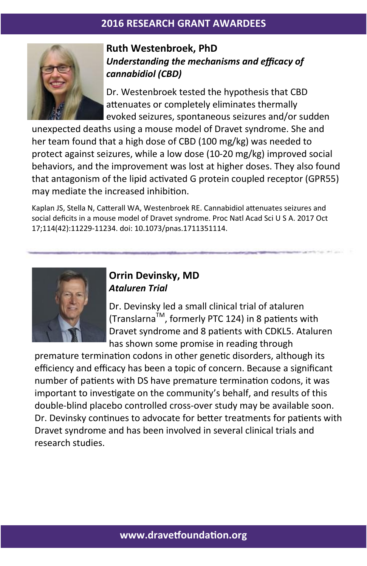

# **Ruth Westenbroek, PhD**  *Understanding the mechanisms and efficacy of cannabidiol (CBD)*

Dr. Westenbroek tested the hypothesis that CBD attenuates or completely eliminates thermally evoked seizures, spontaneous seizures and/or sudden

unexpected deaths using a mouse model of Dravet syndrome. She and her team found that a high dose of CBD (100 mg/kg) was needed to protect against seizures, while a low dose (10-20 mg/kg) improved social behaviors, and the improvement was lost at higher doses. They also found that antagonism of the lipid activated G protein coupled receptor (GPR55) may mediate the increased inhibition.

Kaplan JS, Stella N, Catterall WA, Westenbroek RE. Cannabidiol attenuates seizures and social deficits in a mouse model of Dravet syndrome. Proc Natl Acad Sci U S A. 2017 Oct 17;114(42):11229-11234. doi: 10.1073/pnas.1711351114.



## **Orrin Devinsky, MD**  *Ataluren Trial*

Dr. Devinsky led a small clinical trial of ataluren (Translarna<sup>TM</sup>, formerly PTC 124) in 8 patients with Dravet syndrome and 8 patients with CDKL5. Ataluren has shown some promise in reading through

premature termination codons in other genetic disorders, although its efficiency and efficacy has been a topic of concern. Because a significant number of patients with DS have premature termination codons, it was important to investigate on the community's behalf, and results of this double-blind placebo controlled cross-over study may be available soon. Dr. Devinsky continues to advocate for better treatments for patients with Dravet syndrome and has been involved in several clinical trials and research studies.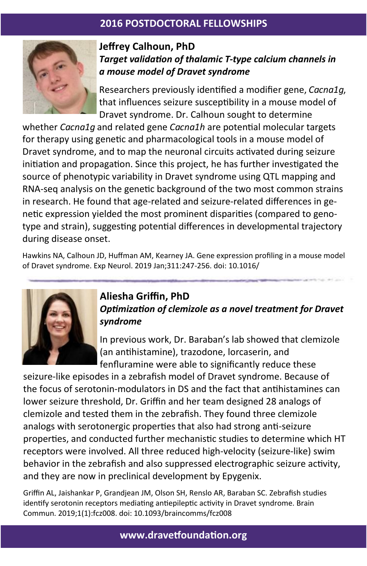# **2016 POSTDOCTORAL FELLOWSHIPS**



# **Jeffrey Calhoun, PhD**  *Target validation of thalamic T-type calcium channels in a mouse model of Dravet syndrome*

Researchers previously identified a modifier gene, *Cacna1g*, that influences seizure susceptibility in a mouse model of Dravet syndrome. Dr. Calhoun sought to determine

whether *Cacna1g* and related gene *Cacna1h* are potential molecular targets for therapy using genetic and pharmacological tools in a mouse model of Dravet syndrome, and to map the neuronal circuits activated during seizure initiation and propagation. Since this project, he has further investigated the source of phenotypic variability in Dravet syndrome using QTL mapping and RNA-seq analysis on the genetic background of the two most common strains in research. He found that age-related and seizure-related differences in genetic expression yielded the most prominent disparities (compared to genotype and strain), suggesting potential differences in developmental trajectory during disease onset.

Hawkins NA, Calhoun JD, Huffman AM, Kearney JA. Gene expression profiling in a mouse model of Dravet syndrome. Exp Neurol. 2019 Jan;311:247-256. doi: 10.1016/



# **Aliesha Griffin, PhD**  *Optimization of clemizole as a novel treatment for Dravet syndrome*

In previous work, Dr. Baraban's lab showed that clemizole (an antihistamine), trazodone, lorcaserin, and fenfluramine were able to significantly reduce these

seizure-like episodes in a zebrafish model of Dravet syndrome. Because of the focus of serotonin-modulators in DS and the fact that antihistamines can lower seizure threshold, Dr. Griffin and her team designed 28 analogs of clemizole and tested them in the zebrafish. They found three clemizole analogs with serotonergic properties that also had strong anti-seizure properties, and conducted further mechanistic studies to determine which HT receptors were involved. All three reduced high-velocity (seizure-like) swim behavior in the zebrafish and also suppressed electrographic seizure activity, and they are now in preclinical development by Epygenix.

Griffin AL, Jaishankar P, Grandjean JM, Olson SH, Renslo AR, Baraban SC. Zebrafish studies identify serotonin receptors mediating antiepileptic activity in Dravet syndrome. Brain Commun. 2019;1(1):fcz008. doi: 10.1093/braincomms/fcz008

**www.dravetfoundation.org**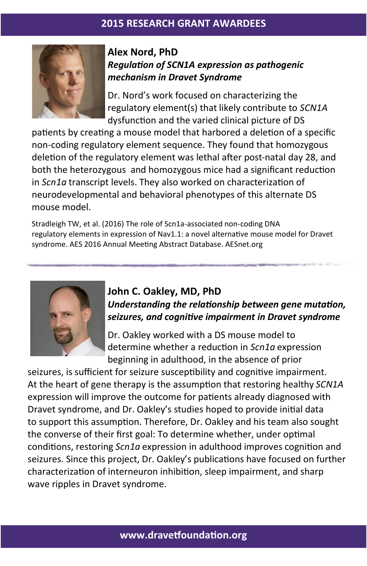

#### **Alex Nord, PhD**  *Regulation of SCN1A expression as pathogenic mechanism in Dravet Syndrome*

Dr. Nord's work focused on characterizing the regulatory element(s) that likely contribute to *SCN1A*  dysfunction and the varied clinical picture of DS

patients by creating a mouse model that harbored a deletion of a specific non-coding regulatory element sequence. They found that homozygous deletion of the regulatory element was lethal after post-natal day 28, and both the heterozygous and homozygous mice had a significant reduction in *Scn1a* transcript levels. They also worked on characterization of neurodevelopmental and behavioral phenotypes of this alternate DS mouse model.

Stradleigh TW, et al. (2016) The role of Scn1a-associated non-coding DNA regulatory elements in expression of Nav1.1: a novel alternative mouse model for Dravet syndrome. AES 2016 Annual Meeting Abstract Database. AESnet.org



# **John C. Oakley, MD, PhD**

*Understanding the relationship between gene mutation, seizures, and cognitive impairment in Dravet syndrome*

Dr. Oakley worked with a DS mouse model to determine whether a reduction in *Scn1a* expression beginning in adulthood, in the absence of prior

seizures, is sufficient for seizure susceptibility and cognitive impairment. At the heart of gene therapy is the assumption that restoring healthy *SCN1A*  expression will improve the outcome for patients already diagnosed with Dravet syndrome, and Dr. Oakley's studies hoped to provide initial data to support this assumption. Therefore, Dr. Oakley and his team also sought the converse of their first goal: To determine whether, under optimal conditions, restoring *Scn1a* expression in adulthood improves cognition and seizures. Since this project, Dr. Oakley's publications have focused on further characterization of interneuron inhibition, sleep impairment, and sharp wave ripples in Dravet syndrome.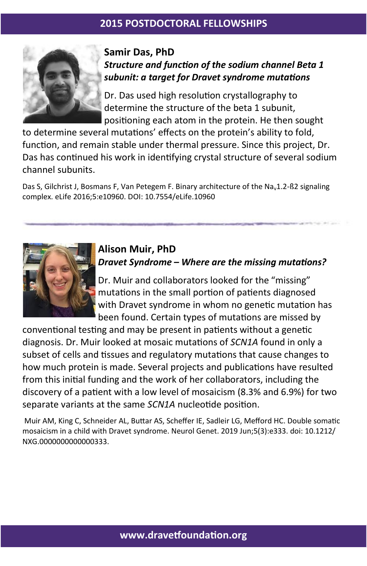

## **Samir Das, PhD**  *Structure and function of the sodium channel Beta 1 subunit: a target for Dravet syndrome mutations*

Dr. Das used high resolution crystallography to determine the structure of the beta 1 subunit, positioning each atom in the protein. He then sought

to determine several mutations' effects on the protein's ability to fold, function, and remain stable under thermal pressure. Since this project, Dr. Das has continued his work in identifying crystal structure of several sodium channel subunits.

Das S, Gilchrist J, Bosmans F, Van Petegem F. Binary architecture of the Na<sub>v</sub>1.2-ß2 signaling complex. eLife 2016;5:e10960. DOI: 10.7554/eLife.10960



# **Alison Muir, PhD**  *Dravet Syndrome – Where are the missing mutations?*

Dr. Muir and collaborators looked for the "missing" mutations in the small portion of patients diagnosed with Dravet syndrome in whom no genetic mutation has been found. Certain types of mutations are missed by

conventional testing and may be present in patients without a genetic diagnosis. Dr. Muir looked at mosaic mutations of *SCN1A* found in only a subset of cells and tissues and regulatory mutations that cause changes to how much protein is made. Several projects and publications have resulted from this initial funding and the work of her collaborators, including the discovery of a patient with a low level of mosaicism (8.3% and 6.9%) for two separate variants at the same *SCN1A* nucleotide position.

Muir AM, King C, Schneider AL, Buttar AS, Scheffer IE, Sadleir LG, Mefford HC. Double somatic mosaicism in a child with Dravet syndrome. Neurol Genet. 2019 Jun;5(3):e333. doi: 10.1212/ NXG.0000000000000333.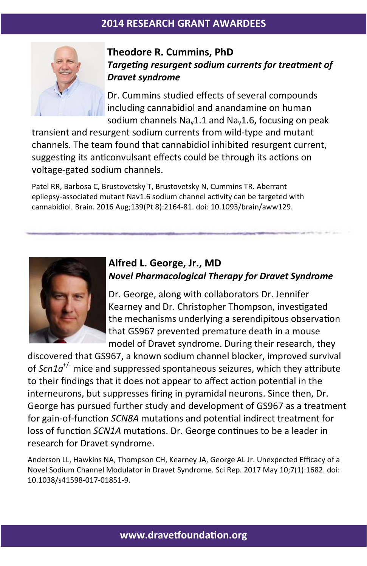

# **Theodore R. Cummins, PhD**  *Targeting resurgent sodium currents for treatment of Dravet syndrome*

Dr. Cummins studied effects of several compounds including cannabidiol and anandamine on human sodium channels  $Na<sub>v</sub>1.1$  and  $Na<sub>v</sub>1.6$ , focusing on peak

transient and resurgent sodium currents from wild-type and mutant channels. The team found that cannabidiol inhibited resurgent current, suggesting its anticonvulsant effects could be through its actions on voltage-gated sodium channels.

Patel RR, Barbosa C, Brustovetsky T, Brustovetsky N, Cummins TR. Aberrant epilepsy-associated mutant Nav1.6 sodium channel activity can be targeted with cannabidiol. Brain. 2016 Aug;139(Pt 8):2164-81. doi: 10.1093/brain/aww129.



#### **Alfred L. George, Jr., MD**  *Novel Pharmacological Therapy for Dravet Syndrome*

Dr. George, along with collaborators Dr. Jennifer Kearney and Dr. Christopher Thompson, investigated the mechanisms underlying a serendipitous observation that GS967 prevented premature death in a mouse model of Dravet syndrome. During their research, they

discovered that GS967, a known sodium channel blocker, improved survival of *Scn1a*+/- mice and suppressed spontaneous seizures, which they attribute to their findings that it does not appear to affect action potential in the interneurons, but suppresses firing in pyramidal neurons. Since then, Dr. George has pursued further study and development of GS967 as a treatment for gain-of-function *SCN8A* mutations and potential indirect treatment for loss of function *SCN1A* mutations. Dr. George continues to be a leader in research for Dravet syndrome.

Anderson LL, Hawkins NA, Thompson CH, Kearney JA, George AL Jr. Unexpected Efficacy of a Novel Sodium Channel Modulator in Dravet Syndrome. Sci Rep. 2017 May 10;7(1):1682. doi: 10.1038/s41598-017-01851-9.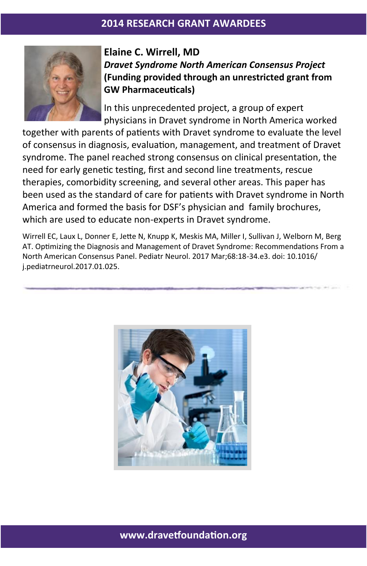

# **Elaine C. Wirrell, MD**  *Dravet Syndrome North American Consensus Project*  **(Funding provided through an unrestricted grant from GW Pharmaceuticals)**

In this unprecedented project, a group of expert physicians in Dravet syndrome in North America worked

together with parents of patients with Dravet syndrome to evaluate the level of consensus in diagnosis, evaluation, management, and treatment of Dravet syndrome. The panel reached strong consensus on clinical presentation, the need for early genetic testing, first and second line treatments, rescue therapies, comorbidity screening, and several other areas. This paper has been used as the standard of care for patients with Dravet syndrome in North America and formed the basis for DSF's physician and family brochures, which are used to educate non-experts in Dravet syndrome.

Wirrell EC, Laux L, Donner E, Jette N, Knupp K, Meskis MA, Miller I, Sullivan J, Welborn M, Berg AT. Optimizing the Diagnosis and Management of Dravet Syndrome: Recommendations From a North American Consensus Panel. Pediatr Neurol. 2017 Mar;68:18-34.e3. doi: 10.1016/ j.pediatrneurol.2017.01.025.



**www.dravetfoundation.org**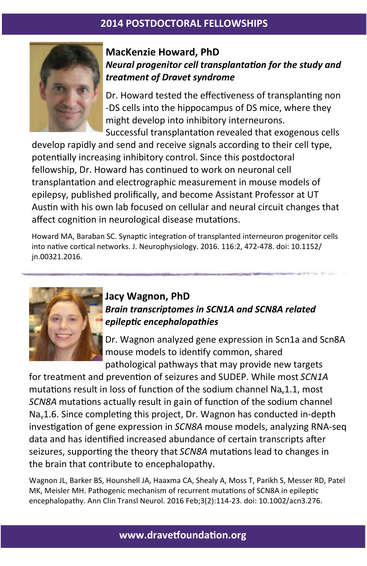# **2014 POSTDOCTORAL FELLOWSHIPS**



## **MacKenzie Howard, PhD**  *Neural progenitor cell transplantation for the study and treatment of Dravet syndrome*

Dr. Howard tested the effectiveness of transplanting non -DS cells into the hippocampus of DS mice, where they might develop into inhibitory interneurons. Successful transplantation revealed that exogenous cells

develop rapidly and send and receive signals according to their cell type, potentially increasing inhibitory control. Since this postdoctoral fellowship, Dr. Howard has continued to work on neuronal cell transplantation and electrographic measurement in mouse models of epilepsy, published prolifically, and become Assistant Professor at UT Austin with his own lab focused on cellular and neural circuit changes that affect cognition in neurological disease mutations.

Howard MA, Baraban SC. Synaptic integration of transplanted interneuron progenitor cells into native cortical networks. J. Neurophysiology. 2016. 116:2, 472-478. doi: 10.1152/ jn.00321.2016.



# **Jacy Wagnon, PhD**  *Brain transcriptomes in SCN1A and SCN8A related epileptic encephalopathies*

Dr. Wagnon analyzed gene expression in Scn1a and Scn8A mouse models to identify common, shared pathological pathways that may provide new targets

for treatment and prevention of seizures and SUDEP. While most *SCN1A* mutations result in loss of function of the sodium channel Na $<sub>v</sub>1.1$ , most</sub> *SCN8A* mutations actually result in gain of function of the sodium channel Nav1.6. Since completing this project, Dr. Wagnon has conducted in-depth investigation of gene expression in *SCN8A* mouse models, analyzing RNA-seq data and has identified increased abundance of certain transcripts after seizures, supporting the theory that *SCN8A* mutations lead to changes in the brain that contribute to encephalopathy.

Wagnon JL, Barker BS, Hounshell JA, Haaxma CA, Shealy A, Moss T, Parikh S, Messer RD, Patel MK, Meisler MH. Pathogenic mechanism of recurrent mutations of SCN8A in epileptic encephalopathy. Ann Clin Transl Neurol. 2016 Feb;3(2):114-23. doi: 10.1002/acn3.276.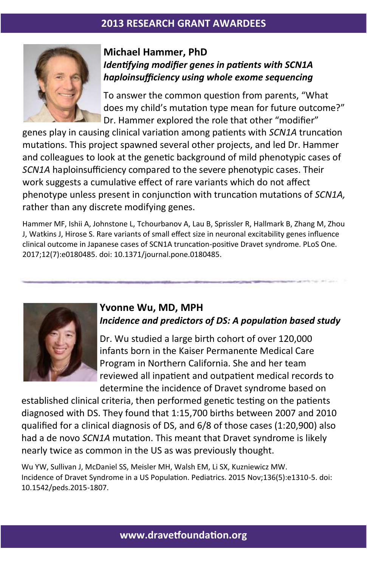

## **Michael Hammer, PhD**  *Identifying modifier genes in patients with SCN1A haploinsufficiency using whole exome sequencing*

To answer the common question from parents, "What does my child's mutation type mean for future outcome?" Dr. Hammer explored the role that other "modifier"

genes play in causing clinical variation among patients with *SCN1A* truncation mutations. This project spawned several other projects, and led Dr. Hammer and colleagues to look at the genetic background of mild phenotypic cases of *SCN1A* haploinsufficiency compared to the severe phenotypic cases. Their work suggests a cumulative effect of rare variants which do not affect phenotype unless present in conjunction with truncation mutations of *SCN1A,*  rather than any discrete modifying genes.

Hammer MF, Ishii A, Johnstone L, Tchourbanov A, Lau B, Sprissler R, Hallmark B, Zhang M, Zhou J, Watkins J, Hirose S. Rare variants of small effect size in neuronal excitability genes influence clinical outcome in Japanese cases of SCN1A truncation-positive Dravet syndrome. PLoS One. 2017;12(7):e0180485. doi: 10.1371/journal.pone.0180485.



## **Yvonne Wu, MD, MPH**  *Incidence and predictors of DS: A population based study*

Dr. Wu studied a large birth cohort of over 120,000 infants born in the Kaiser Permanente Medical Care Program in Northern California. She and her team reviewed all inpatient and outpatient medical records to determine the incidence of Dravet syndrome based on

established clinical criteria, then performed genetic testing on the patients diagnosed with DS. They found that 1:15,700 births between 2007 and 2010 qualified for a clinical diagnosis of DS, and 6/8 of those cases (1:20,900) also had a de novo *SCN1A* mutation. This meant that Dravet syndrome is likely nearly twice as common in the US as was previously thought.

Wu YW, Sullivan J, McDaniel SS, Meisler MH, Walsh EM, Li SX, Kuzniewicz MW. Incidence of Dravet Syndrome in a US Population. Pediatrics. 2015 Nov;136(5):e1310-5. doi: 10.1542/peds.2015-1807.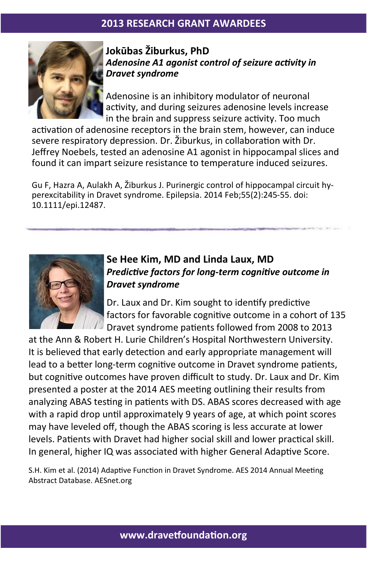

## **Jokūbas Žiburkus, PhD**  *Adenosine A1 agonist control of seizure activity in Dravet syndrome*

Adenosine is an inhibitory modulator of neuronal activity, and during seizures adenosine levels increase in the brain and suppress seizure activity. Too much

activation of adenosine receptors in the brain stem, however, can induce severe respiratory depression. Dr. Žiburkus, in collaboration with Dr. Jeffrey Noebels, tested an adenosine A1 agonist in hippocampal slices and found it can impart seizure resistance to temperature induced seizures.

Gu F, Hazra A, Aulakh A, Žiburkus J. Purinergic control of hippocampal circuit hyperexcitability in Dravet syndrome. Epilepsia. 2014 Feb;55(2):245-55. doi: 10.1111/epi.12487.



## **Se Hee Kim, MD and Linda Laux, MD**  *Predictive factors for long-term cognitive outcome in Dravet syndrome*

Dr. Laux and Dr. Kim sought to identify predictive factors for favorable cognitive outcome in a cohort of 135 Dravet syndrome patients followed from 2008 to 2013

at the Ann & Robert H. Lurie Children's Hospital Northwestern University. It is believed that early detection and early appropriate management will lead to a better long-term cognitive outcome in Dravet syndrome patients, but cognitive outcomes have proven difficult to study. Dr. Laux and Dr. Kim presented a poster at the 2014 AES meeting outlining their results from analyzing ABAS testing in patients with DS. ABAS scores decreased with age with a rapid drop until approximately 9 years of age, at which point scores may have leveled off, though the ABAS scoring is less accurate at lower levels. Patients with Dravet had higher social skill and lower practical skill. In general, higher IQ was associated with higher General Adaptive Score.

S.H. Kim et al. (2014) Adaptive Function in Dravet Syndrome. AES 2014 Annual Meeting Abstract Database. AESnet.org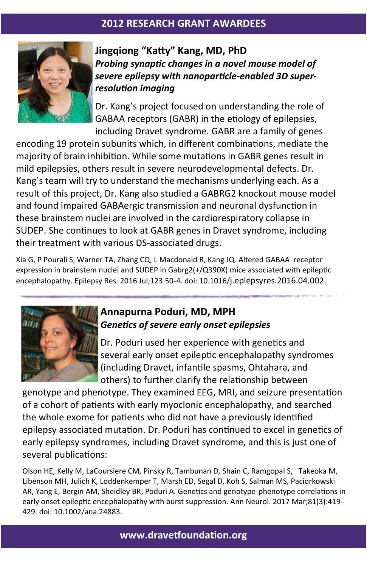

**Jingqiong "Katty" Kang, MD, PhD**  *Probing synaptic changes in a novel mouse model of severe epilepsy with nanoparticle-enabled 3D superresolution imaging*

Dr. Kang's project focused on understanding the role of GABAA receptors (GABR) in the etiology of epilepsies, including Dravet syndrome. GABR are a family of genes

encoding 19 protein subunits which, in different combinations, mediate the majority of brain inhibition. While some mutations in GABR genes result in mild epilepsies, others result in severe neurodevelopmental defects. Dr. Kang's team will try to understand the mechanisms underlying each. As a result of this project, Dr. Kang also studied a GABRG2 knockout mouse model and found impaired GABAergic transmission and neuronal dysfunction in these brainstem nuclei are involved in the cardiorespiratory collapse in SUDEP. She continues to look at GABR genes in Dravet syndrome, including their treatment with various DS-associated drugs.

Xia G, P Pourali S, Warner TA, Zhang CQ, L Macdonald R, Kang JQ. Altered GABAA receptor expression in brainstem nuclei and SUDEP in Gabrg2(+/Q390X) mice associated with epileptic encephalopathy. Epilepsy Res. 2016 Jul;123:50-4. doi: 10.1016/j.eplepsyres.2016.04.002.



## **Annapurna Poduri, MD, MPH**  *Genetics of severe early onset epilepsies*

Dr. Poduri used her experience with genetics and several early onset epileptic encephalopathy syndromes (including Dravet, infantile spasms, Ohtahara, and others) to further clarify the relationship between

genotype and phenotype. They examined EEG, MRI, and seizure presentation of a cohort of patients with early myoclonic encephalopathy, and searched the whole exome for patients who did not have a previously identified epilepsy associated mutation. Dr. Poduri has continued to excel in genetics of early epilepsy syndromes, including Dravet syndrome, and this is just one of several publications:

Olson HE, Kelly M, LaCoursiere CM, Pinsky R, Tambunan D, Shain C, Ramgopal S, Takeoka M, Libenson MH, Julich K, Loddenkemper T, Marsh ED, Segal D, Koh S, Salman MS, Paciorkowski AR, Yang E, Bergin AM, Sheidley BR, Poduri A. Genetics and genotype-phenotype correlations in early onset epileptic encephalopathy with burst suppression. Ann Neurol. 2017 Mar;81(3):419- 429. doi: 10.1002/ana.24883.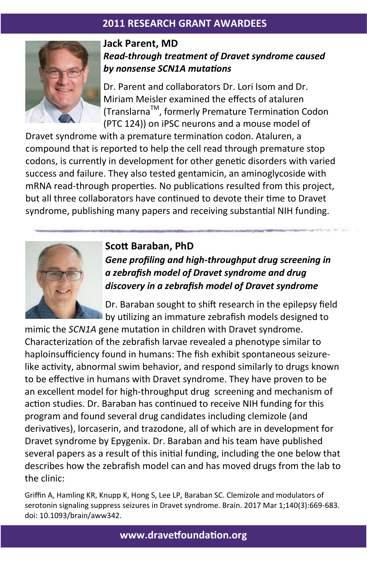

## **Jack Parent, MD**  *Read-through treatment of Dravet syndrome caused by nonsense SCN1A mutations*

Dr. Parent and collaborators Dr. Lori Isom and Dr. Miriam Meisler examined the effects of ataluren (TranslarnaTM, formerly Premature Termination Codon (PTC 124)) on iPSC neurons and a mouse model of

Dravet syndrome with a premature termination codon. Ataluren, a compound that is reported to help the cell read through premature stop codons, is currently in development for other genetic disorders with varied success and failure. They also tested gentamicin, an aminoglycoside with mRNA read-through properties. No publications resulted from this project, but all three collaborators have continued to devote their time to Dravet syndrome, publishing many papers and receiving substantial NIH funding.



# **Scott Baraban, PhD**  *Gene profiling and high-throughput drug screening in a zebrafish model of Dravet syndrome and drug discovery in a zebrafish model of Dravet syndrome*

Dr. Baraban sought to shift research in the epilepsy field by utilizing an immature zebrafish models designed to

mimic the *SCN1A* gene mutation in children with Dravet syndrome. Characterization of the zebrafish larvae revealed a phenotype similar to haploinsufficiency found in humans: The fish exhibit spontaneous seizurelike activity, abnormal swim behavior, and respond similarly to drugs known to be effective in humans with Dravet syndrome. They have proven to be an excellent model for high-throughput drug screening and mechanism of action studies. Dr. Baraban has continued to receive NIH funding for this program and found several drug candidates including clemizole (and derivatives), lorcaserin, and trazodone, all of which are in development for Dravet syndrome by Epygenix. Dr. Baraban and his team have published several papers as a result of this initial funding, including the one below that describes how the zebrafish model can and has moved drugs from the lab to the clinic:

Griffin A, Hamling KR, Knupp K, Hong S, Lee LP, Baraban SC. Clemizole and modulators of serotonin signaling suppress seizures in Dravet syndrome. Brain. 2017 Mar 1;140(3):669-683. doi: 10.1093/brain/aww342.

**www.dravetfoundation.org**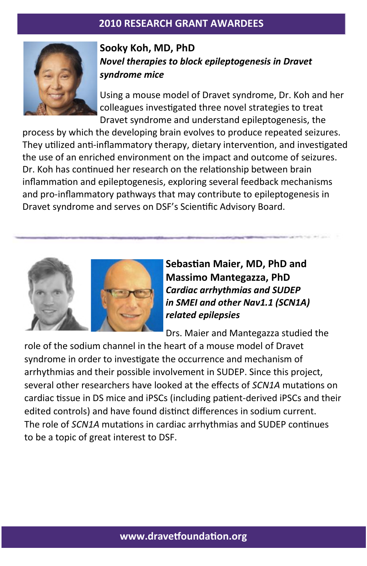

# **Sooky Koh, MD, PhD**  *Novel therapies to block epileptogenesis in Dravet syndrome mice*

Using a mouse model of Dravet syndrome, Dr. Koh and her colleagues investigated three novel strategies to treat Dravet syndrome and understand epileptogenesis, the

process by which the developing brain evolves to produce repeated seizures. They utilized anti-inflammatory therapy, dietary intervention, and investigated the use of an enriched environment on the impact and outcome of seizures. Dr. Koh has continued her research on the relationship between brain inflammation and epileptogenesis, exploring several feedback mechanisms and pro-inflammatory pathways that may contribute to epileptogenesis in Dravet syndrome and serves on DSF's Scientific Advisory Board.



**Sebastian Maier, MD, PhD and Massimo Mantegazza, PhD** *Cardiac arrhythmias and SUDEP in SMEI and other Nav1.1 (SCN1A) related epilepsies*

Drs. Maier and Mantegazza studied the

role of the sodium channel in the heart of a mouse model of Dravet syndrome in order to investigate the occurrence and mechanism of arrhythmias and their possible involvement in SUDEP. Since this project, several other researchers have looked at the effects of *SCN1A* mutations on cardiac tissue in DS mice and iPSCs (including patient-derived iPSCs and their edited controls) and have found distinct differences in sodium current. The role of *SCN1A* mutations in cardiac arrhythmias and SUDEP continues to be a topic of great interest to DSF.